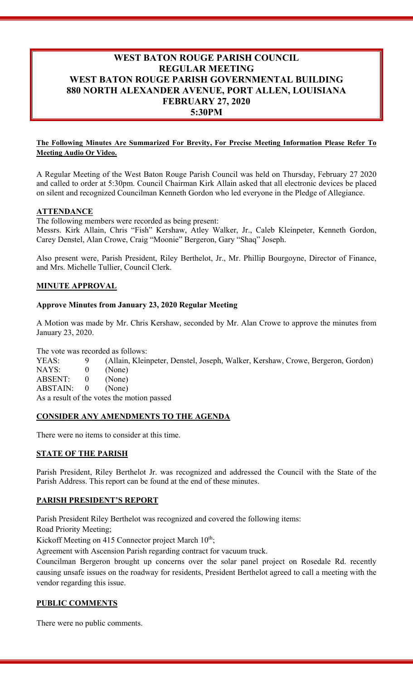# **WEST BATON ROUGE PARISH COUNCIL REGULAR MEETING WEST BATON ROUGE PARISH GOVERNMENTAL BUILDING 880 NORTH ALEXANDER AVENUE, PORT ALLEN, LOUISIANA FEBRUARY 27, 2020 5:30PM**

#### **The Following Minutes Are Summarized For Brevity, For Precise Meeting Information Please Refer To Meeting Audio Or Video.**

A Regular Meeting of the West Baton Rouge Parish Council was held on Thursday, February 27 2020 and called to order at 5:30pm. Council Chairman Kirk Allain asked that all electronic devices be placed on silent and recognized Councilman Kenneth Gordon who led everyone in the Pledge of Allegiance.

#### **ATTENDANCE**

The following members were recorded as being present:

Messrs. Kirk Allain, Chris "Fish" Kershaw, Atley Walker, Jr., Caleb Kleinpeter, Kenneth Gordon, Carey Denstel, Alan Crowe, Craig "Moonie" Bergeron, Gary "Shaq" Joseph.

Also present were, Parish President, Riley Berthelot, Jr., Mr. Phillip Bourgoyne, Director of Finance, and Mrs. Michelle Tullier, Council Clerk.

#### **MINUTE APPROVAL**

#### **Approve Minutes from January 23, 2020 Regular Meeting**

A Motion was made by Mr. Chris Kershaw, seconded by Mr. Alan Crowe to approve the minutes from January 23, 2020.

The vote was recorded as follows:

YEAS: 9 (Allain, Kleinpeter, Denstel, Joseph, Walker, Kershaw, Crowe, Bergeron, Gordon) NAYS: 0 (None) ABSENT: 0 (None) ABSTAIN: 0 (None) As a result of the votes the motion passed

#### **CONSIDER ANY AMENDMENTS TO THE AGENDA**

There were no items to consider at this time.

#### **STATE OF THE PARISH**

Parish President, Riley Berthelot Jr. was recognized and addressed the Council with the State of the Parish Address. This report can be found at the end of these minutes.

#### **PARISH PRESIDENT'S REPORT**

Parish President Riley Berthelot was recognized and covered the following items:

Road Priority Meeting;

Kickoff Meeting on 415 Connector project March 10<sup>th</sup>;

Agreement with Ascension Parish regarding contract for vacuum truck.

Councilman Bergeron brought up concerns over the solar panel project on Rosedale Rd. recently causing unsafe issues on the roadway for residents, President Berthelot agreed to call a meeting with the vendor regarding this issue.

#### **PUBLIC COMMENTS**

There were no public comments.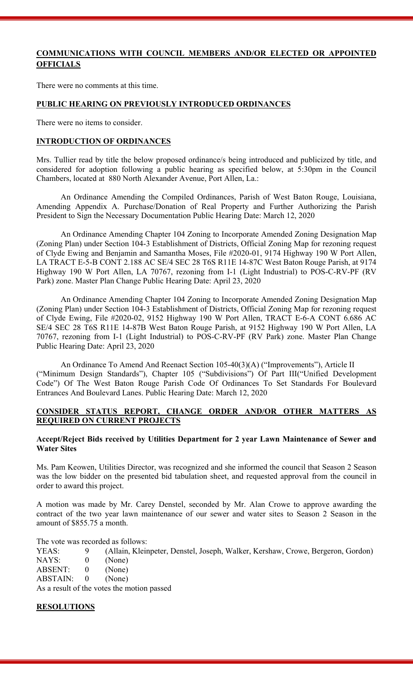## **COMMUNICATIONS WITH COUNCIL MEMBERS AND/OR ELECTED OR APPOINTED OFFICIALS**

There were no comments at this time.

#### **PUBLIC HEARING ON PREVIOUSLY INTRODUCED ORDINANCES**

There were no items to consider.

#### **INTRODUCTION OF ORDINANCES**

Mrs. Tullier read by title the below proposed ordinance/s being introduced and publicized by title, and considered for adoption following a public hearing as specified below, at 5:30pm in the Council Chambers, located at 880 North Alexander Avenue, Port Allen, La.:

An Ordinance Amending the Compiled Ordinances, Parish of West Baton Rouge, Louisiana, Amending Appendix A. Purchase/Donation of Real Property and Further Authorizing the Parish President to Sign the Necessary Documentation Public Hearing Date: March 12, 2020

An Ordinance Amending Chapter 104 Zoning to Incorporate Amended Zoning Designation Map (Zoning Plan) under Section 104-3 Establishment of Districts, Official Zoning Map for rezoning request of Clyde Ewing and Benjamin and Samantha Moses, File #2020-01, 9174 Highway 190 W Port Allen, LA TRACT E-5-B CONT 2.188 AC SE/4 SEC 28 T6S R11E 14-87C West Baton Rouge Parish, at 9174 Highway 190 W Port Allen, LA 70767, rezoning from I-1 (Light Industrial) to POS-C-RV-PF (RV Park) zone. Master Plan Change Public Hearing Date: April 23, 2020

An Ordinance Amending Chapter 104 Zoning to Incorporate Amended Zoning Designation Map (Zoning Plan) under Section 104-3 Establishment of Districts, Official Zoning Map for rezoning request of Clyde Ewing, File #2020-02, 9152 Highway 190 W Port Allen, TRACT E-6-A CONT 6.686 AC SE/4 SEC 28 T6S R11E 14-87B West Baton Rouge Parish, at 9152 Highway 190 W Port Allen, LA 70767, rezoning from I-1 (Light Industrial) to POS-C-RV-PF (RV Park) zone. Master Plan Change Public Hearing Date: April 23, 2020

An Ordinance To Amend And Reenact Section 105-40(3)(A) ("Improvements"), Article II ("Minimum Design Standards"), Chapter 105 ("Subdivisions") Of Part III("Unified Development Code") Of The West Baton Rouge Parish Code Of Ordinances To Set Standards For Boulevard Entrances And Boulevard Lanes. Public Hearing Date: March 12, 2020

#### **CONSIDER STATUS REPORT, CHANGE ORDER AND/OR OTHER MATTERS AS REQUIRED ON CURRENT PROJECTS**

#### **Accept/Reject Bids received by Utilities Department for 2 year Lawn Maintenance of Sewer and Water Sites**

Ms. Pam Keowen, Utilities Director, was recognized and she informed the council that Season 2 Season was the low bidder on the presented bid tabulation sheet, and requested approval from the council in order to award this project.

A motion was made by Mr. Carey Denstel, seconded by Mr. Alan Crowe to approve awarding the contract of the two year lawn maintenance of our sewer and water sites to Season 2 Season in the amount of \$855.75 a month.

The vote was recorded as follows:

YEAS: 9 (Allain, Kleinpeter, Denstel, Joseph, Walker, Kershaw, Crowe, Bergeron, Gordon)

NAYS: 0 (None)

ABSENT: 0 (None)

ABSTAIN: 0 (None)

As a result of the votes the motion passed

#### **RESOLUTIONS**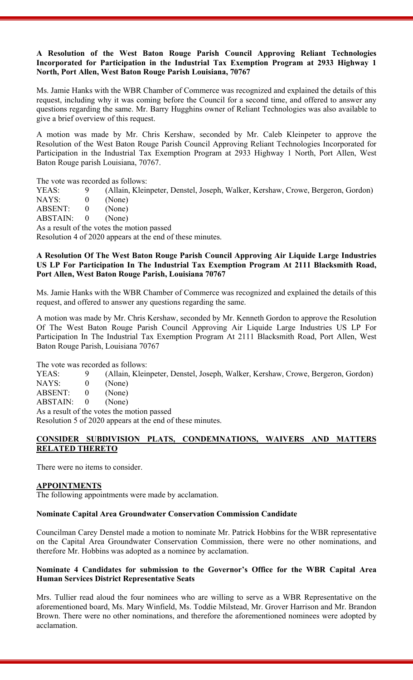#### **A Resolution of the West Baton Rouge Parish Council Approving Reliant Technologies Incorporated for Participation in the Industrial Tax Exemption Program at 2933 Highway 1 North, Port Allen, West Baton Rouge Parish Louisiana, 70767**

Ms. Jamie Hanks with the WBR Chamber of Commerce was recognized and explained the details of this request, including why it was coming before the Council for a second time, and offered to answer any questions regarding the same. Mr. Barry Hugghins owner of Reliant Technologies was also available to give a brief overview of this request.

A motion was made by Mr. Chris Kershaw, seconded by Mr. Caleb Kleinpeter to approve the Resolution of the West Baton Rouge Parish Council Approving Reliant Technologies Incorporated for Participation in the Industrial Tax Exemption Program at 2933 Highway 1 North, Port Allen, West Baton Rouge parish Louisiana, 70767.

The vote was recorded as follows:

YEAS: 9 (Allain, Kleinpeter, Denstel, Joseph, Walker, Kershaw, Crowe, Bergeron, Gordon)

- NAYS: 0 (None)
- ABSENT: 0 (None)<br>ABSTAIN: 0 (None)
- $ABSTAIN: 0$

As a result of the votes the motion passed

Resolution 4 of 2020 appears at the end of these minutes.

#### **A Resolution Of The West Baton Rouge Parish Council Approving Air Liquide Large Industries US LP For Participation In The Industrial Tax Exemption Program At 2111 Blacksmith Road, Port Allen, West Baton Rouge Parish, Louisiana 70767**

Ms. Jamie Hanks with the WBR Chamber of Commerce was recognized and explained the details of this request, and offered to answer any questions regarding the same.

A motion was made by Mr. Chris Kershaw, seconded by Mr. Kenneth Gordon to approve the Resolution Of The West Baton Rouge Parish Council Approving Air Liquide Large Industries US LP For Participation In The Industrial Tax Exemption Program At 2111 Blacksmith Road, Port Allen, West Baton Rouge Parish, Louisiana 70767

The vote was recorded as follows:

YEAS: 9 (Allain, Kleinpeter, Denstel, Joseph, Walker, Kershaw, Crowe, Bergeron, Gordon)

- NAYS: 0 (None)
- ABSENT: 0 (None)
- ABSTAIN: 0 (None)

As a result of the votes the motion passed

Resolution 5 of 2020 appears at the end of these minutes.

#### **CONSIDER SUBDIVISION PLATS, CONDEMNATIONS, WAIVERS AND MATTERS RELATED THERETO**

There were no items to consider.

#### **APPOINTMENTS**

The following appointments were made by acclamation.

#### **Nominate Capital Area Groundwater Conservation Commission Candidate**

Councilman Carey Denstel made a motion to nominate Mr. Patrick Hobbins for the WBR representative on the Capital Area Groundwater Conservation Commission, there were no other nominations, and therefore Mr. Hobbins was adopted as a nominee by acclamation.

#### **Nominate 4 Candidates for submission to the Governor's Office for the WBR Capital Area Human Services District Representative Seats**

Mrs. Tullier read aloud the four nominees who are willing to serve as a WBR Representative on the aforementioned board, Ms. Mary Winfield, Ms. Toddie Milstead, Mr. Grover Harrison and Mr. Brandon Brown. There were no other nominations, and therefore the aforementioned nominees were adopted by acclamation.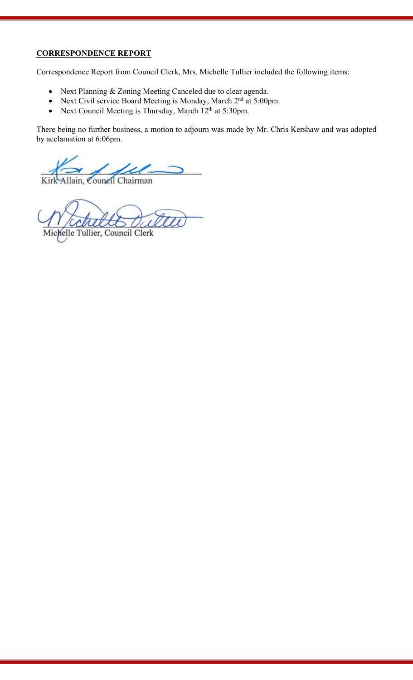## **CORRESPONDENCE REPORT**

Correspondence Report from Council Clerk, Mrs. Michelle Tullier included the following items:

- Next Planning & Zoning Meeting Canceled due to clear agenda.
- Next Civil service Board Meeting is Monday, March 2<sup>nd</sup> at 5:00pm.
- Next Council Meeting is Thursday, March 12<sup>th</sup> at 5:30pm.

There being no further business, a motion to adjourn was made by Mr. Chris Kershaw and was adopted by acclamation at 6:06pm.

Allain, Council Chairman

Michelle Tullier, Council Clerk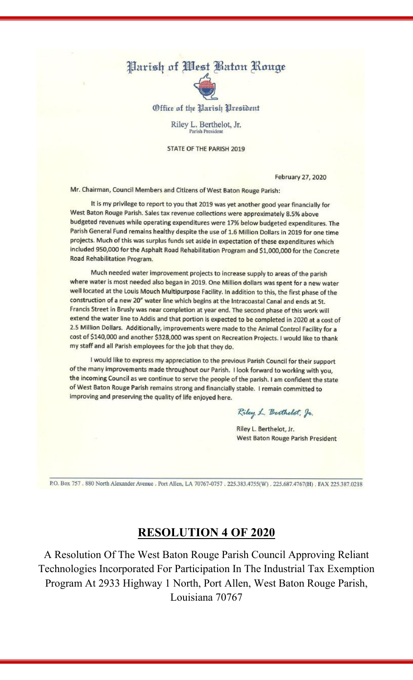# Parish of *West Baton Rouge*



Office of the Parish President

Riley L. Berthelot, Jr. Parish Presiden

STATE OF THE PARISH 2019

**February 27, 2020** 

Mr. Chairman, Council Members and Citizens of West Baton Rouge Parish:

It is my privilege to report to you that 2019 was yet another good year financially for West Baton Rouge Parish. Sales tax revenue collections were approximately 8.5% above budgeted revenues while operating expenditures were 17% below budgeted expenditures. The Parish General Fund remains healthy despite the use of 1.6 Million Dollars in 2019 for one time projects. Much of this was surplus funds set aside in expectation of these expenditures which included 950,000 for the Asphalt Road Rehabilitation Program and \$1,000,000 for the Concrete Road Rehabilitation Program.

Much needed water improvement projects to increase supply to areas of the parish where water is most needed also began in 2019. One Million dollars was spent for a new water well located at the Louis Mouch Multipurpose Facility. In addition to this, the first phase of the construction of a new 20" water line which begins at the Intracoastal Canal and ends at St. Francis Street in Brusly was near completion at year end. The second phase of this work will extend the water line to Addis and that portion is expected to be completed in 2020 at a cost of 2.5 Million Dollars. Additionally, improvements were made to the Animal Control Facility for a cost of \$140,000 and another \$328,000 was spent on Recreation Projects. I would like to thank my staff and all Parish employees for the job that they do.

I would like to express my appreciation to the previous Parish Council for their support of the many improvements made throughout our Parish. I look forward to working with you, the incoming Council as we continue to serve the people of the parish. I am confident the state of West Baton Rouge Parish remains strong and financially stable. I remain committed to improving and preserving the quality of life enjoyed here.

Riley L. Berthelot, Jr.

Riley L. Berthelot, Jr. West Baton Rouge Parish President

P.O. Box 757 . 880 North Alexander Avenue . Port Allen, LA 70767-0757 . 225.383.4755(W) . 225.687.4767(H) . FAX 225.387.0218

# **RESOLUTION 4 OF 2020**

A Resolution Of The West Baton Rouge Parish Council Approving Reliant Technologies Incorporated For Participation In The Industrial Tax Exemption Program At 2933 Highway 1 North, Port Allen, West Baton Rouge Parish, Louisiana 70767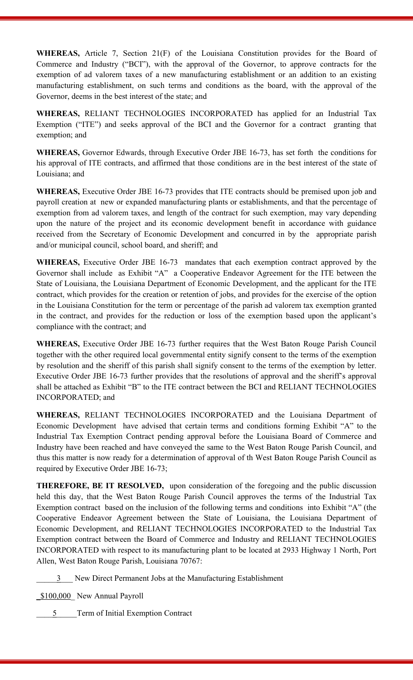**WHEREAS,** Article 7, Section 21(F) of the Louisiana Constitution provides for the Board of Commerce and Industry ("BCI"), with the approval of the Governor, to approve contracts for the exemption of ad valorem taxes of a new manufacturing establishment or an addition to an existing manufacturing establishment, on such terms and conditions as the board, with the approval of the Governor, deems in the best interest of the state; and

**WHEREAS,** RELIANT TECHNOLOGIES INCORPORATED has applied for an Industrial Tax Exemption ("ITE") and seeks approval of the BCI and the Governor for a contract granting that exemption; and

**WHEREAS,** Governor Edwards, through Executive Order JBE 16-73, has set forth the conditions for his approval of ITE contracts, and affirmed that those conditions are in the best interest of the state of Louisiana; and

**WHEREAS,** Executive Order JBE 16-73 provides that ITE contracts should be premised upon job and payroll creation at new or expanded manufacturing plants or establishments, and that the percentage of exemption from ad valorem taxes, and length of the contract for such exemption, may vary depending upon the nature of the project and its economic development benefit in accordance with guidance received from the Secretary of Economic Development and concurred in by the appropriate parish and/or municipal council, school board, and sheriff; and

**WHEREAS,** Executive Order JBE 16-73 mandates that each exemption contract approved by the Governor shall include as Exhibit "A" a Cooperative Endeavor Agreement for the ITE between the State of Louisiana, the Louisiana Department of Economic Development, and the applicant for the ITE contract, which provides for the creation or retention of jobs, and provides for the exercise of the option in the Louisiana Constitution for the term or percentage of the parish ad valorem tax exemption granted in the contract, and provides for the reduction or loss of the exemption based upon the applicant's compliance with the contract; and

**WHEREAS,** Executive Order JBE 16-73 further requires that the West Baton Rouge Parish Council together with the other required local governmental entity signify consent to the terms of the exemption by resolution and the sheriff of this parish shall signify consent to the terms of the exemption by letter. Executive Order JBE 16-73 further provides that the resolutions of approval and the sheriff's approval shall be attached as Exhibit "B" to the ITE contract between the BCI and RELIANT TECHNOLOGIES INCORPORATED; and

**WHEREAS,** RELIANT TECHNOLOGIES INCORPORATED and the Louisiana Department of Economic Development have advised that certain terms and conditions forming Exhibit "A" to the Industrial Tax Exemption Contract pending approval before the Louisiana Board of Commerce and Industry have been reached and have conveyed the same to the West Baton Rouge Parish Council, and thus this matter is now ready for a determination of approval of th West Baton Rouge Parish Council as required by Executive Order JBE 16-73;

**THEREFORE, BE IT RESOLVED,** upon consideration of the foregoing and the public discussion held this day, that the West Baton Rouge Parish Council approves the terms of the Industrial Tax Exemption contract based on the inclusion of the following terms and conditions into Exhibit "A" (the Cooperative Endeavor Agreement between the State of Louisiana, the Louisiana Department of Economic Development, and RELIANT TECHNOLOGIES INCORPORATED to the Industrial Tax Exemption contract between the Board of Commerce and Industry and RELIANT TECHNOLOGIES INCORPORATED with respect to its manufacturing plant to be located at 2933 Highway 1 North, Port Allen, West Baton Rouge Parish, Louisiana 70767:

\_\_\_\_\_3\_\_\_ New Direct Permanent Jobs at the Manufacturing Establishment

\$100,000 New Annual Payroll

5 Term of Initial Exemption Contract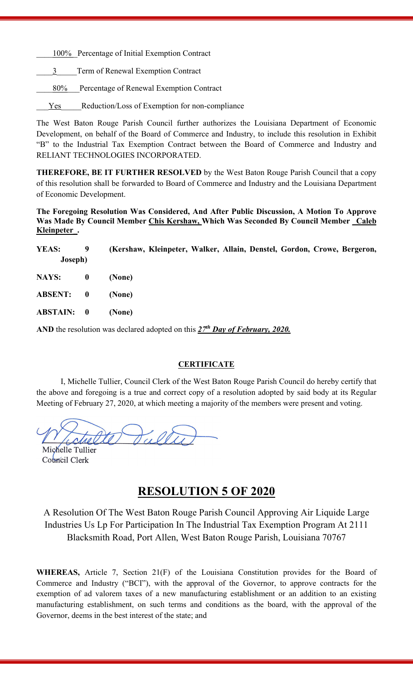100% Percentage of Initial Exemption Contract

3 Term of Renewal Exemption Contract

80% Percentage of Renewal Exemption Contract

Yes Reduction/Loss of Exemption for non-compliance

The West Baton Rouge Parish Council further authorizes the Louisiana Department of Economic Development, on behalf of the Board of Commerce and Industry, to include this resolution in Exhibit "B" to the Industrial Tax Exemption Contract between the Board of Commerce and Industry and RELIANT TECHNOLOGIES INCORPORATED.

**THEREFORE, BE IT FURTHER RESOLVED** by the West Baton Rouge Parish Council that a copy of this resolution shall be forwarded to Board of Commerce and Industry and the Louisiana Department of Economic Development.

**The Foregoing Resolution Was Considered, And After Public Discussion, A Motion To Approve Was Made By Council Member Chis Kershaw, Which Was Seconded By Council Member \_Caleb Kleinpeter\_.**

| YEAS:<br>Joseph)  | 9 | (Kershaw, Kleinpeter, Walker, Allain, Denstel, Gordon, Crowe, Bergeron, |
|-------------------|---|-------------------------------------------------------------------------|
| NAYS: 0           |   | (None)                                                                  |
| ABSENT: 0         |   | (None)                                                                  |
| <b>ABSTAIN: 0</b> |   | (None)                                                                  |

AND the resolution was declared adopted on this  $27^{th}$  *Day of February, 2020.* 

#### **CERTIFICATE**

I, Michelle Tullier, Council Clerk of the West Baton Rouge Parish Council do hereby certify that the above and foregoing is a true and correct copy of a resolution adopted by said body at its Regular Meeting of February 27, 2020, at which meeting a majority of the members were present and voting.

Dull Michelle Tullier

Council Clerk

# **RESOLUTION 5 OF 2020**

A Resolution Of The West Baton Rouge Parish Council Approving Air Liquide Large Industries Us Lp For Participation In The Industrial Tax Exemption Program At 2111 Blacksmith Road, Port Allen, West Baton Rouge Parish, Louisiana 70767

**WHEREAS,** Article 7, Section 21(F) of the Louisiana Constitution provides for the Board of Commerce and Industry ("BCI"), with the approval of the Governor, to approve contracts for the exemption of ad valorem taxes of a new manufacturing establishment or an addition to an existing manufacturing establishment, on such terms and conditions as the board, with the approval of the Governor, deems in the best interest of the state; and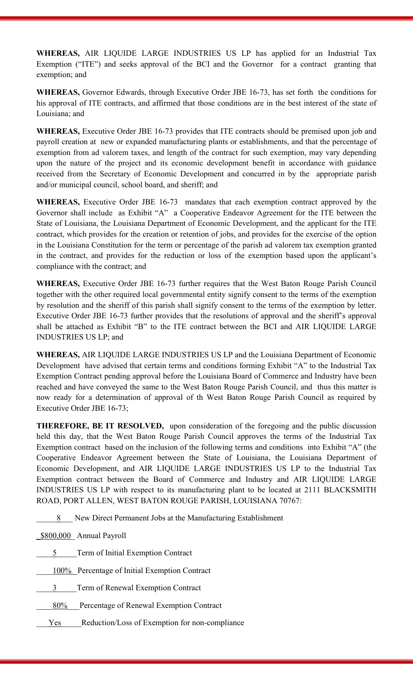**WHEREAS,** AIR LIQUIDE LARGE INDUSTRIES US LP has applied for an Industrial Tax Exemption ("ITE") and seeks approval of the BCI and the Governor for a contract granting that exemption; and

**WHEREAS,** Governor Edwards, through Executive Order JBE 16-73, has set forth the conditions for his approval of ITE contracts, and affirmed that those conditions are in the best interest of the state of Louisiana; and

**WHEREAS,** Executive Order JBE 16-73 provides that ITE contracts should be premised upon job and payroll creation at new or expanded manufacturing plants or establishments, and that the percentage of exemption from ad valorem taxes, and length of the contract for such exemption, may vary depending upon the nature of the project and its economic development benefit in accordance with guidance received from the Secretary of Economic Development and concurred in by the appropriate parish and/or municipal council, school board, and sheriff; and

**WHEREAS,** Executive Order JBE 16-73 mandates that each exemption contract approved by the Governor shall include as Exhibit "A" a Cooperative Endeavor Agreement for the ITE between the State of Louisiana, the Louisiana Department of Economic Development, and the applicant for the ITE contract, which provides for the creation or retention of jobs, and provides for the exercise of the option in the Louisiana Constitution for the term or percentage of the parish ad valorem tax exemption granted in the contract, and provides for the reduction or loss of the exemption based upon the applicant's compliance with the contract; and

**WHEREAS,** Executive Order JBE 16-73 further requires that the West Baton Rouge Parish Council together with the other required local governmental entity signify consent to the terms of the exemption by resolution and the sheriff of this parish shall signify consent to the terms of the exemption by letter. Executive Order JBE 16-73 further provides that the resolutions of approval and the sheriff's approval shall be attached as Exhibit "B" to the ITE contract between the BCI and AIR LIQUIDE LARGE INDUSTRIES US LP; and

**WHEREAS,** AIR LIQUIDE LARGE INDUSTRIES US LP and the Louisiana Department of Economic Development have advised that certain terms and conditions forming Exhibit "A" to the Industrial Tax Exemption Contract pending approval before the Louisiana Board of Commerce and Industry have been reached and have conveyed the same to the West Baton Rouge Parish Council, and thus this matter is now ready for a determination of approval of th West Baton Rouge Parish Council as required by Executive Order JBE 16-73;

**THEREFORE, BE IT RESOLVED,** upon consideration of the foregoing and the public discussion held this day, that the West Baton Rouge Parish Council approves the terms of the Industrial Tax Exemption contract based on the inclusion of the following terms and conditions into Exhibit "A" (the Cooperative Endeavor Agreement between the State of Louisiana, the Louisiana Department of Economic Development, and AIR LIQUIDE LARGE INDUSTRIES US LP to the Industrial Tax Exemption contract between the Board of Commerce and Industry and AIR LIQUIDE LARGE INDUSTRIES US LP with respect to its manufacturing plant to be located at 2111 BLACKSMITH ROAD, PORT ALLEN, WEST BATON ROUGE PARISH, LOUISIANA 70767:

\_\_\_\_\_8\_\_\_ New Direct Permanent Jobs at the Manufacturing Establishment

\_\$800,000\_ Annual Payroll

5 Term of Initial Exemption Contract

100% Percentage of Initial Exemption Contract

3 Term of Renewal Exemption Contract

80% Percentage of Renewal Exemption Contract

Yes Reduction/Loss of Exemption for non-compliance